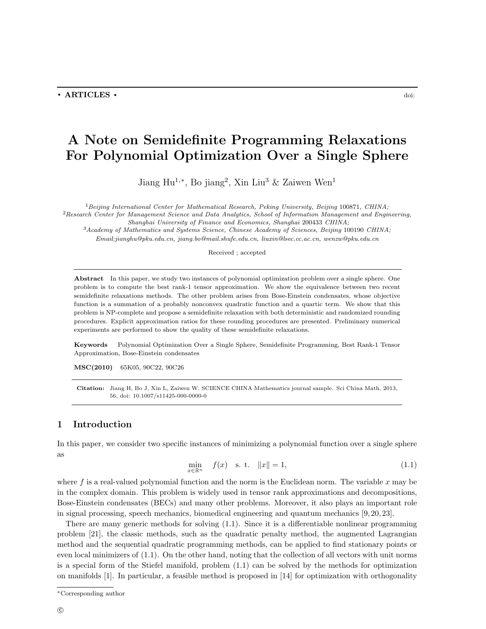# A Note on Semidefinite Programming Relaxations For Polynomial Optimization Over a Single Sphere

Jiang Hu<sup>1,\*</sup>, Bo jiang<sup>2</sup>, Xin Liu<sup>3</sup> & Zaiwen Wen<sup>1</sup>

 ${}^{1}$ Beijing International Center for Mathematical Research, Peking University, Beijing 100871, CHINA;  ${}^{2}$ Research Center for Management Science and Data Analytics, School of Information Management and Engineering, Shanghai University of Finance and Economics, Shanghai 200433 CHINA; <sup>3</sup>Academy of Mathematics and Systems Science, Chinese Academy of Sciences, Beijing 100190 CHINA; Email:jianghu@pku.edu.cn, jiang.bo@mail.shufe.edu.cn, liuxin@lsec.cc.ac.cn, wenzw@pku.edu.cn

Received ; accepted

Abstract In this paper, we study two instances of polynomial optimization problem over a single sphere. One problem is to compute the best rank-1 tensor approximation. We show the equivalence between two recent semidefinite relaxations methods. The other problem arises from Bose-Einstein condensates, whose objective function is a summation of a probably nonconvex quadratic function and a quartic term. We show that this problem is NP-complete and propose a semidefinite relaxation with both deterministic and randomized rounding procedures. Explicit approximation ratios for these rounding procedures are presented. Preliminary numerical experiments are performed to show the quality of these semidefinite relaxations.

Keywords Polynomial Optimization Over a Single Sphere, Semidefinite Programming, Best Rank-1 Tensor Approximation, Bose-Einstein condensates

MSC(2010) 65K05, 90C22, 90C26

Citation: Jiang H, Bo J, Xin L, Zaiwen W. SCIENCE CHINA Mathematics journal sample. Sci China Math, 2013, 56, doi: 10.1007/s11425-000-0000-0

# 1 Introduction

In this paper, we consider two specific instances of minimizing a polynomial function over a single sphere as

$$
\min_{x \in \mathbb{R}^n} \quad f(x) \quad \text{s. t.} \quad \|x\| = 1,\tag{1.1}
$$

where f is a real-valued polynomial function and the norm is the Euclidean norm. The variable x may be in the complex domain. This problem is widely used in tensor rank approximations and decompositions, Bose-Einstein condensates (BECs) and many other problems. Moreover, it also plays an important role in signal processing, speech mechanics, biomedical engineering and quantum mechanics [9, 20, 23].

There are many generic methods for solving (1.1). Since it is a differentiable nonlinear programming problem [21], the classic methods, such as the quadratic penalty method, the augmented Lagrangian method and the sequential quadratic programming methods, can be applied to find stationary points or even local minimizers of (1.1). On the other hand, noting that the collection of all vectors with unit norms is a special form of the Stiefel manifold, problem (1.1) can be solved by the methods for optimization on manifolds [1]. In particular, a feasible method is proposed in [14] for optimization with orthogonality

<sup>∗</sup>Corresponding author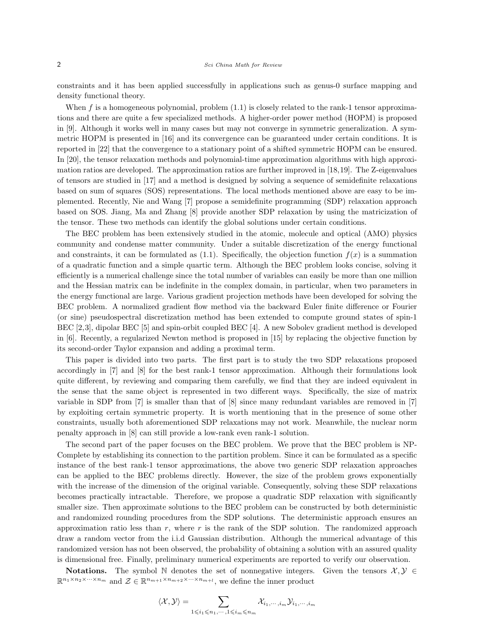constraints and it has been applied successfully in applications such as genus-0 surface mapping and density functional theory.

When f is a homogeneous polynomial, problem  $(1.1)$  is closely related to the rank-1 tensor approximations and there are quite a few specialized methods. A higher-order power method (HOPM) is proposed in [9]. Although it works well in many cases but may not converge in symmetric generalization. A symmetric HOPM is presented in [16] and its convergence can be guaranteed under certain conditions. It is reported in [22] that the convergence to a stationary point of a shifted symmetric HOPM can be ensured. In [20], the tensor relaxation methods and polynomial-time approximation algorithms with high approximation ratios are developed. The approximation ratios are further improved in [18,19]. The Z-eigenvalues of tensors are studied in [17] and a method is designed by solving a sequence of semidefinite relaxations based on sum of squares (SOS) representations. The local methods mentioned above are easy to be implemented. Recently, Nie and Wang [7] propose a semidefinite programming (SDP) relaxation approach based on SOS. Jiang, Ma and Zhang [8] provide another SDP relaxation by using the matricization of the tensor. These two methods can identify the global solutions under certain conditions.

The BEC problem has been extensively studied in the atomic, molecule and optical (AMO) physics community and condense matter community. Under a suitable discretization of the energy functional and constraints, it can be formulated as  $(1.1)$ . Specifically, the objection function  $f(x)$  is a summation of a quadratic function and a simple quartic term. Although the BEC problem looks concise, solving it efficiently is a numerical challenge since the total number of variables can easily be more than one million and the Hessian matrix can be indefinite in the complex domain, in particular, when two parameters in the energy functional are large. Various gradient projection methods have been developed for solving the BEC problem. A normalized gradient flow method via the backward Euler finite difference or Fourier (or sine) pseudospectral discretization method has been extended to compute ground states of spin-1 BEC [2,3], dipolar BEC [5] and spin-orbit coupled BEC [4]. A new Sobolev gradient method is developed in [6]. Recently, a regularized Newton method is proposed in [15] by replacing the objective function by its second-order Taylor expansion and adding a proximal term.

This paper is divided into two parts. The first part is to study the two SDP relaxations proposed accordingly in [7] and [8] for the best rank-1 tensor approximation. Although their formulations look quite different, by reviewing and comparing them carefully, we find that they are indeed equivalent in the sense that the same object is represented in two different ways. Specifically, the size of matrix variable in SDP from [7] is smaller than that of [8] since many redundant variables are removed in [7] by exploiting certain symmetric property. It is worth mentioning that in the presence of some other constraints, usually both aforementioned SDP relaxations may not work. Meanwhile, the nuclear norm penalty approach in [8] can still provide a low-rank even rank-1 solution.

The second part of the paper focuses on the BEC problem. We prove that the BEC problem is NP-Complete by establishing its connection to the partition problem. Since it can be formulated as a specific instance of the best rank-1 tensor approximations, the above two generic SDP relaxation approaches can be applied to the BEC problems directly. However, the size of the problem grows exponentially with the increase of the dimension of the original variable. Consequently, solving these SDP relaxations becomes practically intractable. Therefore, we propose a quadratic SDP relaxation with significantly smaller size. Then approximate solutions to the BEC problem can be constructed by both deterministic and randomized rounding procedures from the SDP solutions. The deterministic approach ensures an approximation ratio less than  $r$ , where  $r$  is the rank of the SDP solution. The randomized approach draw a random vector from the i.i.d Gaussian distribution. Although the numerical advantage of this randomized version has not been observed, the probability of obtaining a solution with an assured quality is dimensional free. Finally, preliminary numerical experiments are reported to verify our observation.

Notations. The symbol N denotes the set of nonnegative integers. Given the tensors  $\mathcal{X}, \mathcal{Y} \in$  $\mathbb{R}^{n_1 \times n_2 \times \cdots \times n_m}$  and  $\mathcal{Z} \in \mathbb{R}^{n_{m+1} \times n_{m+2} \times \cdots \times n_{m+l}}$ , we define the inner product

$$
\langle \mathcal{X}, \mathcal{Y} \rangle = \sum_{1 \leqslant i_1 \leqslant n_1, \cdots, 1 \leqslant i_m \leqslant n_m} \mathcal{X}_{i_1, \cdots, i_m} \mathcal{Y}_{i_1, \cdots, i_m}
$$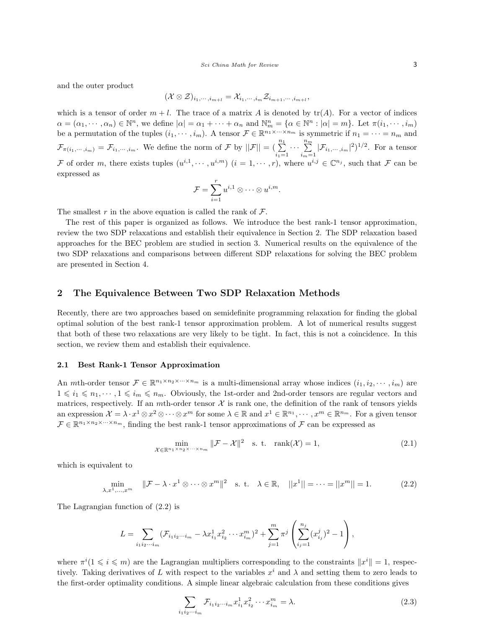and the outer product

$$
(\mathcal{X}\otimes \mathcal{Z})_{i_1,\cdots,i_{m+l}}=\mathcal{X}_{i_1,\cdots,i_m}\mathcal{Z}_{i_{m+1},\cdots,i_{m+l}},
$$

which is a tensor of order  $m + l$ . The trace of a matrix A is denoted by  $tr(A)$ . For a vector of indices  $\alpha = (\alpha_1, \dots, \alpha_n) \in \mathbb{N}^n$ , we define  $|\alpha| = \alpha_1 + \dots + \alpha_n$  and  $\mathbb{N}_m^n = {\alpha \in \mathbb{N}^n : |\alpha| = m}$ . Let  $\pi(i_1, \dots, i_m)$ be a permutation of the tuples  $(i_1, \dots, i_m)$ . A tensor  $\mathcal{F} \in \mathbb{R}^{n_1 \times \dots \times n_m}$  is symmetric if  $n_1 = \dots = n_m$  and  $\mathcal{F}_{\pi(i_1,\dots,i_m)} = \mathcal{F}_{i_1,\dots,i_m}$ . We define the norm of  $\mathcal{F}$  by  $||\mathcal{F}|| = \left(\sum_{i_1=1}^{n_1}$  $\cdots \sum^{n_m}$  $\sum_{i_m=1}^{\infty} |\mathcal{F}_{i_1,\dots,i_m}|^2$ <sup>1/2</sup>. For a tensor F of order m, there exists tuples  $(u^{i,1}, \dots, u^{i,m})$   $(i = 1, \dots, r)$ , where  $u^{i,j} \in \mathbb{C}^{n_j}$ , such that F can be expressed as

$$
\mathcal{F} = \sum_{i=1}^r u^{i,1} \otimes \cdots \otimes u^{i,m}.
$$

The smallest r in the above equation is called the rank of  $\mathcal{F}$ .

The rest of this paper is organized as follows. We introduce the best rank-1 tensor approximation, review the two SDP relaxations and establish their equivalence in Section 2. The SDP relaxation based approaches for the BEC problem are studied in section 3. Numerical results on the equivalence of the two SDP relaxations and comparisons between different SDP relaxations for solving the BEC problem are presented in Section 4.

# 2 The Equivalence Between Two SDP Relaxation Methods

Recently, there are two approaches based on semidefinite programming relaxation for finding the global optimal solution of the best rank-1 tensor approximation problem. A lot of numerical results suggest that both of these two relaxations are very likely to be tight. In fact, this is not a coincidence. In this section, we review them and establish their equivalence.

#### 2.1 Best Rank-1 Tensor Approximation

An *m*th-order tensor  $\mathcal{F} \in \mathbb{R}^{n_1 \times n_2 \times \cdots \times n_m}$  is a multi-dimensional array whose indices  $(i_1, i_2, \dots, i_m)$  are  $1 \leq i_1 \leq n_1, \dots, 1 \leq i_m \leq n_m$ . Obviously, the 1st-order and 2nd-order tensors are regular vectors and matrices, respectively. If an *mth*-order tensor  $X$  is rank one, the definition of the rank of tensors yields an expression  $\mathcal{X} = \lambda \cdot x^1 \otimes x^2 \otimes \cdots \otimes x^m$  for some  $\lambda \in \mathbb{R}$  and  $x^1 \in \mathbb{R}^{n_1}, \cdots, x^m \in \mathbb{R}^{n_m}$ . For a given tensor  $\mathcal{F} \in \mathbb{R}^{n_1 \times n_2 \times \cdots \times n_m}$ , finding the best rank-1 tensor approximations of  $\mathcal{F}$  can be expressed as

$$
\min_{\mathcal{X} \in \mathbb{R}^{n_1 \times n_2 \times \dots \times n_m}} \|\mathcal{F} - \mathcal{X}\|^2 \quad \text{s. t. } \operatorname{rank}(\mathcal{X}) = 1,\tag{2.1}
$$

which is equivalent to

$$
\min_{\lambda, x^1, ..., x^m} \quad \|\mathcal{F} - \lambda \cdot x^1 \otimes \dots \otimes x^m\|^2 \quad \text{s. t.} \quad \lambda \in \mathbb{R}, \quad ||x^1|| = \dots = ||x^m|| = 1. \tag{2.2}
$$

The Lagrangian function of (2.2) is

$$
L = \sum_{i_1 i_2 \cdots i_m} (\mathcal{F}_{i_1 i_2 \cdots i_m} - \lambda x_{i_1}^1 x_{i_2}^2 \cdots x_{i_m}^m)^2 + \sum_{j=1}^m \pi^j \left( \sum_{i_j=1}^{n_j} (x_{i_j}^j)^2 - 1 \right),
$$

where  $\pi^{i} (1 \leq i \leq m)$  are the Lagrangian multipliers corresponding to the constraints  $\|x^{i}\| = 1$ , respectively. Taking derivatives of L with respect to the variables  $x^i$  and  $\lambda$  and setting them to zero leads to the first-order optimality conditions. A simple linear algebraic calculation from these conditions gives

$$
\sum_{i_1 i_2 \cdots i_m} \mathcal{F}_{i_1 i_2 \cdots i_m} x_{i_1}^1 x_{i_2}^2 \cdots x_{i_m}^m = \lambda.
$$
 (2.3)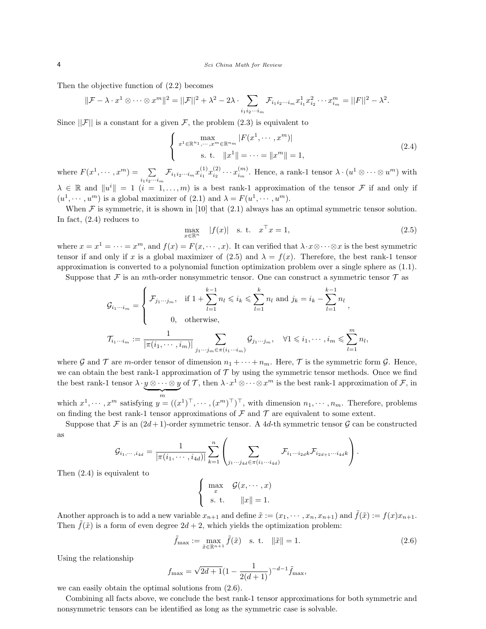Then the objective function of (2.2) becomes

$$
\|\mathcal{F} - \lambda \cdot x^1 \otimes \cdots \otimes x^m\|^2 = ||\mathcal{F}||^2 + \lambda^2 - 2\lambda \cdot \sum_{i_1 i_2 \cdots i_m} \mathcal{F}_{i_1 i_2 \cdots i_m} x_{i_1}^1 x_{i_2}^2 \cdots x_{i_m}^m = ||F||^2 - \lambda^2.
$$

Since  $||\mathcal{F}||$  is a constant for a given  $\mathcal{F}$ , the problem (2.3) is equivalent to

$$
\begin{cases}\n\max_{x^1 \in \mathbb{R}^{n_1}, \dots, x^m \in \mathbb{R}^{n_m}} |F(x^1, \dots, x^m)| \\
\text{s. t. } \|x^1\| = \dots = \|x^m\| = 1,\n\end{cases}
$$
\n(2.4)

where  $F(x^1, \dots, x^m) = \sum$  $\sum_{i_1i_2\cdots i_m} \mathcal{F}_{i_1i_2\cdots i_m} x_{i_1}^{(1)} x_{i_2}^{(2)} \cdots x_{i_m}^{(m)}$ . Hence, a rank-1 tensor  $\lambda \cdot (u^1 \otimes \cdots \otimes u^m)$  with  $\lambda \in \mathbb{R}$  and  $||u^i|| = 1$   $(i = 1, ..., m)$  is a best rank-1 approximation of the tensor F if and only if  $(u^1, \dots, u^m)$  is a global maximizer of  $(2.1)$  and  $\lambda = F(u^1, \dots, u^m)$ .

When  $\mathcal F$  is symmetric, it is shown in [10] that (2.1) always has an optimal symmetric tensor solution. In fact, (2.4) reduces to

$$
\max_{x \in \mathbb{R}^n} \quad |f(x)| \quad \text{s. t.} \quad x^\top x = 1,\tag{2.5}
$$

where  $x = x^1 = \cdots = x^m$ , and  $f(x) = F(x, \dots, x)$ . It can verified that  $\lambda \cdot x \otimes \cdots \otimes x$  is the best symmetric tensor if and only if x is a global maximizer of (2.5) and  $\lambda = f(x)$ . Therefore, the best rank-1 tensor approximation is converted to a polynomial function optimization problem over a single sphere as (1.1).

Suppose that  $\mathcal F$  is an *mth*-order nonsymmetric tensor. One can construct a symmetric tensor  $\mathcal T$  as

$$
\mathcal{G}_{i_1\cdots i_m} = \begin{cases}\n\mathcal{F}_{j_1\cdots j_m}, & \text{if } 1 + \sum_{l=1}^{k-1} n_l \leqslant i_k \leqslant \sum_{l=1}^k n_l \text{ and } j_k = i_k - \sum_{l=1}^{k-1} n_l \\
0, & \text{otherwise,} \n\end{cases}
$$
\n
$$
\mathcal{T}_{i_1\cdots i_m} := \frac{1}{|\pi(i_1, \cdots, i_m)|} \sum_{j_1\cdots j_m \in \pi(i_1\cdots i_m)} \mathcal{G}_{j_1\cdots j_m}, \quad \forall 1 \leqslant i_1, \cdots, i_m \leqslant \sum_{l=1}^m n_l,
$$

where G and T are m-order tensor of dimension  $n_1 + \cdots + n_m$ . Here, T is the symmetric form G. Hence, we can obtain the best rank-1 approximation of  $\mathcal T$  by using the symmetric tensor methods. Once we find the best rank-1 tensor  $\lambda \cdot y \otimes \cdots \otimes y$  $\frac{1}{m}$ of T, then  $\lambda \cdot x^1 \otimes \cdots \otimes x^m$  is the best rank-1 approximation of F, in

which  $x^1, \dots, x^m$  satisfying  $y = ((x^1)^\top, \dots, (x^m)^\top)^\top$ , with dimension  $n_1, \dots, n_m$ . Therefore, problems on finding the best rank-1 tensor approximations of  $\mathcal F$  and  $\mathcal T$  are equivalent to some extent.

Suppose that F is an  $(2d+1)$ -order symmetric tensor. A 4d-th symmetric tensor G can be constructed as

$$
\mathcal{G}_{i_1,\dots,i_{4d}} = \frac{1}{|\pi(i_1,\dots,i_{4d})|} \sum_{k=1}^n \left( \sum_{j_1\cdots j_{4d} \in \pi(i_1\cdots i_{4d})} \mathcal{F}_{i_1\cdots i_{2d}k} \mathcal{F}_{i_{2d+1}\cdots i_{4d}k} \right).
$$

Then (2.4) is equivalent to

$$
\begin{cases}\n\max_{x} & \mathcal{G}(x, \dots, x) \\
\text{s. t.} & \|x\| = 1.\n\end{cases}
$$

Another approach is to add a new variable  $x_{n+1}$  and define  $\tilde{x} := (x_1, \dots, x_n, x_{n+1})$  and  $\tilde{f}(\tilde{x}) := f(x)x_{n+1}$ . Then  $\tilde{f}(\tilde{x})$  is a form of even degree  $2d + 2$ , which yields the optimization problem:

$$
\tilde{f}_{\max} := \max_{\tilde{x} \in \mathbb{R}^{n+1}} \tilde{f}(\tilde{x}) \quad \text{s. t.} \quad \|\tilde{x}\| = 1. \tag{2.6}
$$

Using the relationship

$$
f_{\text{max}} = \sqrt{2d+1}(1 - \frac{1}{2(d+1)})^{-d-1}\tilde{f}_{\text{max}},
$$

we can easily obtain the optimal solutions from (2.6).

Combining all facts above, we conclude the best rank-1 tensor approximations for both symmetric and nonsymmetric tensors can be identified as long as the symmetric case is solvable.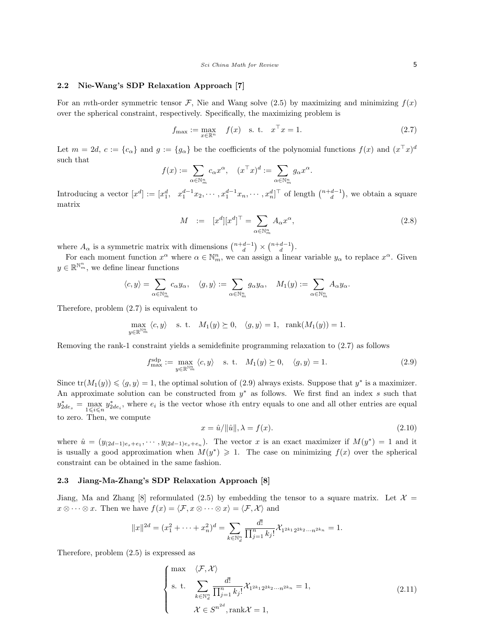Sci China Math for Review 5

#### 2.2 Nie-Wang's SDP Relaxation Approach [7]

For an *mth*-order symmetric tensor F, Nie and Wang solve (2.5) by maximizing and minimizing  $f(x)$ over the spherical constraint, respectively. Specifically, the maximizing problem is

$$
f_{\max} := \max_{x \in \mathbb{R}^n} f(x)
$$
 s. t.  $x^{\top} x = 1$ . (2.7)

Let  $m = 2d$ ,  $c := \{c_{\alpha}\}\$  and  $g := \{g_{\alpha}\}\$  be the coefficients of the polynomial functions  $f(x)$  and  $(x^{\top}x)^{d}$ such that

$$
f(x):=\sum_{\alpha\in\mathbb{N}_m^n}c_\alpha x^\alpha,\quad(x^\top x)^d:=\sum_{\alpha\in\mathbb{N}_m^n}g_\alpha x^\alpha.
$$

Introducing a vector  $[x^d] := [x_1^d, x_1^{d-1}x_2, \cdots, x_1^{d-1}x_n, \cdots, x_n^d]^\top$  of length  $\binom{n+d-1}{d}$ , we obtain a square matrix

$$
M \quad := \quad [x^d][x^d]^\top = \sum_{\alpha \in \mathbb{N}_m^n} A_\alpha x^\alpha,\tag{2.8}
$$

where  $A_{\alpha}$  is a symmetric matrix with dimensions  $\binom{n+d-1}{d} \times \binom{n+d-1}{d}$ .

For each moment function  $x^{\alpha}$  where  $\alpha \in \mathbb{N}_m^n$ , we can assign a linear variable  $y_{\alpha}$  to replace  $x^{\alpha}$ . Given  $y \in \mathbb{R}^{\mathbb{N}_m^n}$ , we define linear functions

$$
\langle c, y \rangle = \sum_{\alpha \in \mathbb{N}_m^n} c_{\alpha} y_{\alpha}, \quad \langle g, y \rangle := \sum_{\alpha \in \mathbb{N}_m^n} g_{\alpha} y_{\alpha}, \quad M_1(y) := \sum_{\alpha \in \mathbb{N}_m^n} A_{\alpha} y_{\alpha}.
$$

Therefore, problem (2.7) is equivalent to

$$
\max_{y\in\mathbb{R}^{\mathbb{N}_m^n}}\,\langle c,y\rangle\quad\text{s. t.}\quad M_1(y)\succeq 0,\quad \langle g,y\rangle=1,\quad \text{rank}(M_1(y))=1.
$$

Removing the rank-1 constraint yields a semidefinite programming relaxation to (2.7) as follows

$$
f_{\max}^{\text{sdp}} := \max_{y \in \mathbb{R}^{N_m^m}} \langle c, y \rangle \quad \text{s. t.} \quad M_1(y) \succeq 0, \quad \langle g, y \rangle = 1. \tag{2.9}
$$

Since  $tr(M_1(y)) \leq \langle g, y \rangle = 1$ , the optimal solution of (2.9) always exists. Suppose that  $y^*$  is a maximizer. An approximate solution can be constructed from  $y^*$  as follows. We first find an index s such that  $y_{2de_s}^* = \max_{1 \leq i \leq n} y_{2de_i}^*$ , where  $e_i$  is the vector whose *i*th entry equals to one and all other entries are equal to zero. Then, we compute

$$
x = \hat{u}/\|\hat{u}\|, \lambda = f(x). \tag{2.10}
$$

where  $\hat{u} = (y_{(2d-1)e_s+e_1}, \cdots, y_{(2d-1)e_s+e_n})$ . The vector x is an exact maximizer if  $M(y^*) = 1$  and it is usually a good approximation when  $M(y^*) \geq 1$ . The case on minimizing  $f(x)$  over the spherical constraint can be obtained in the same fashion.

## 2.3 Jiang-Ma-Zhang's SDP Relaxation Approach [8]

Jiang, Ma and Zhang [8] reformulated (2.5) by embedding the tensor to a square matrix. Let  $\mathcal{X} =$  $x \otimes \cdots \otimes x$ . Then we have  $f(x) = \langle \mathcal{F}, x \otimes \cdots \otimes x \rangle = \langle \mathcal{F}, \mathcal{X} \rangle$  and

$$
||x||^{2d} = (x_1^2 + \dots + x_n^2)^d = \sum_{k \in \mathbb{N}_d^n} \frac{d!}{\prod_{j=1}^n k_j!} \chi_{1^{2k_1} 2^{2k_2} \cdots n^{2k_n}} = 1.
$$

Therefore, problem (2.5) is expressed as

$$
\begin{cases}\n\max \quad \langle \mathcal{F}, \mathcal{X} \rangle \\
\text{s. t.} \quad \sum_{k \in \mathbb{N}_d^n} \frac{d!}{\prod_{j=1}^n k_j!} \mathcal{X}_{1^{2k_1} 2^{2k_2} \cdots n^{2k_n}} = 1, \\
\mathcal{X} \in S^{n^{2d}}, \text{rank}\mathcal{X} = 1,\n\end{cases} \tag{2.11}
$$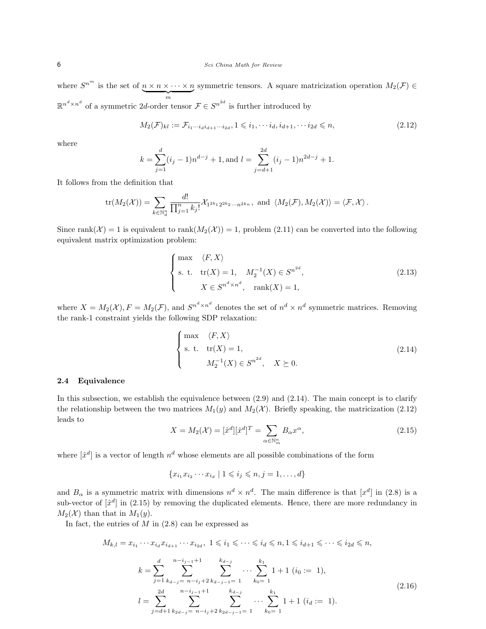where  $S^{n^m}$  is the set of  $n \times n \times \cdots \times n$  $\overbrace{m}$ symmetric tensors. A square matricization operation  $M_2(\mathcal{F}) \in$  $\mathbb{R}^{n^d \times n^d}$  of a symmetric 2d-order tensor  $\mathcal{F} \in S^{n^{2d}}$  is further introduced by

$$
M_2(\mathcal{F})_{kl} := \mathcal{F}_{i_1 \cdots i_d i_{d+1} \cdots i_{2d}}, 1 \leq i_1, \cdots i_d, i_{d+1}, \cdots i_{2d} \leq n,
$$
\n(2.12)

where

$$
k = \sum_{j=1}^{d} (i_j - 1)n^{d-j} + 1, \text{ and } l = \sum_{j=d+1}^{2d} (i_j - 1)n^{2d-j} + 1.
$$

It follows from the definition that

$$
\text{tr}(M_2(\mathcal{X})) = \sum_{k \in \mathbb{N}_d^n} \frac{d!}{\prod_{j=1}^n k_j!} \mathcal{X}_{1^{2k_1} 2^{2k_2} \cdots n^{2k_n}}, \text{ and } \langle M_2(\mathcal{F}), M_2(\mathcal{X}) \rangle = \langle \mathcal{F}, \mathcal{X} \rangle.
$$

Since rank $(\mathcal{X}) = 1$  is equivalent to rank $(M_2(\mathcal{X})) = 1$ , problem (2.11) can be converted into the following equivalent matrix optimization problem:

$$
\begin{cases}\n\max \quad \langle F, X \rangle \\
\text{s. t. tr}(X) = 1, \quad M_2^{-1}(X) \in S^{n^{2d}}, \\
X \in S^{n^d \times n^d}, \quad \text{rank}(X) = 1,\n\end{cases}
$$
\n(2.13)

where  $X = M_2(\mathcal{X}), F = M_2(\mathcal{F}),$  and  $S^{n^d \times n^d}$  denotes the set of  $n^d \times n^d$  symmetric matrices. Removing the rank-1 constraint yields the following SDP relaxation:

$$
\begin{cases}\n\max \quad \langle F, X \rangle \\
\text{s. t. tr}(X) = 1, \\
M_2^{-1}(X) \in S^{n^{2d}}, \quad X \succeq 0.\n\end{cases}
$$
\n(2.14)

#### 2.4 Equivalence

In this subsection, we establish the equivalence between (2.9) and (2.14). The main concept is to clarify the relationship between the two matrices  $M_1(y)$  and  $M_2(\mathcal{X})$ . Briefly speaking, the matricization (2.12) leads to

$$
X = M_2(\mathcal{X}) = [\hat{x}^d][\hat{x}^d]^T = \sum_{\alpha \in \mathbb{N}_m^n} B_{\alpha} x^{\alpha},\tag{2.15}
$$

where  $[\hat{x}^d]$  is a vector of length  $n^d$  whose elements are all possible combinations of the form

$$
\{x_{i_1}x_{i_2}\cdots x_{i_d} \mid 1 \leqslant i_j \leqslant n, j = 1,\ldots, d\}
$$

and  $B_{\alpha}$  is a symmetric matrix with dimensions  $n^d \times n^d$ . The main difference is that  $[x^d]$  in (2.8) is a sub-vector of  $[\hat{x}^d]$  in (2.15) by removing the duplicated elements. Hence, there are more redundancy in  $M_2(\mathcal{X})$  than that in  $M_1(y)$ .

In fact, the entries of  $M$  in  $(2.8)$  can be expressed as

$$
M_{k,l} = x_{i_1} \cdots x_{i_d} x_{i_{d+1}} \cdots x_{i_{2d}}, \ 1 \leq i_1 \leq \cdots \leq i_d \leq n, 1 \leq i_{d+1} \leq \cdots \leq i_{2d} \leq n,
$$
  
\n
$$
k = \sum_{j=1}^d \sum_{k_{d-j}}^{n-i_{j-1}+1} \sum_{k_{d-j-1}=1}^{k_{d-j}} \cdots \sum_{k_0=1}^{k_1} 1 + 1 \ (i_0 := 1),
$$
  
\n
$$
l = \sum_{j=d+1}^{2d} \sum_{k_{2d-j}}^{n-i_{j-1}+1} \sum_{k_{d-j-1}=1}^{k_{d-j}} \cdots \sum_{k_0=1}^{k_1} 1 + 1 \ (i_d := 1).
$$
  
\n(2.16)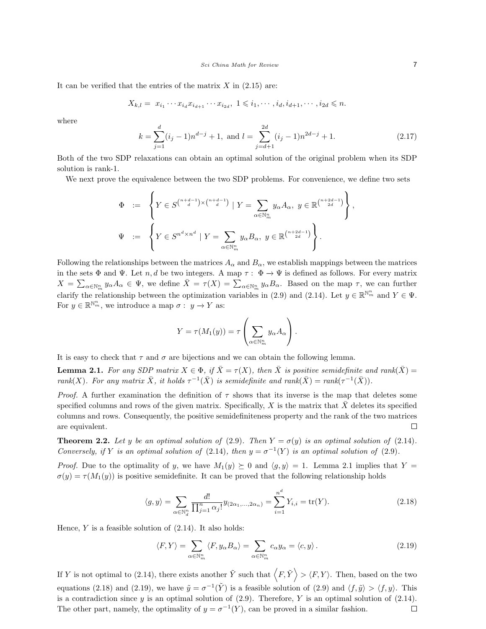It can be verified that the entries of the matrix  $X$  in  $(2.15)$  are:

$$
X_{k,l}=\ x_{i_1}\cdots x_{i_d}x_{i_{d+1}}\cdots x_{i_{2d}},\ 1\leqslant i_1,\cdots,i_d,i_{d+1},\cdots,i_{2d}\leqslant n.
$$

where

$$
k = \sum_{j=1}^{d} (i_j - 1)n^{d-j} + 1, \text{ and } l = \sum_{j=d+1}^{2d} (i_j - 1)n^{2d-j} + 1.
$$
 (2.17)

,

Both of the two SDP relaxations can obtain an optimal solution of the original problem when its SDP solution is rank-1.

We next prove the equivalence between the two SDP problems. For convenience, we define two sets

$$
\Phi := \left\{ Y \in S^{n+d-1} \times {n+d-1 \choose d} \mid Y = \sum_{\alpha \in \mathbb{N}_m^n} y_{\alpha} A_{\alpha}, y \in \mathbb{R}^{n+2d-1} \right\}
$$
  

$$
\Psi := \left\{ Y \in S^{n^d \times n^d} \mid Y = \sum_{\alpha \in \mathbb{N}_m^n} y_{\alpha} B_{\alpha}, y \in \mathbb{R}^{n+2d-1} \right\}.
$$

Following the relationships between the matrices  $A_{\alpha}$  and  $B_{\alpha}$ , we establish mappings between the matrices in the sets  $\Phi$  and  $\Psi$ . Let n, d be two integers. A map  $\tau : \Phi \to \Psi$  is defined as follows. For every matrix  $X = \sum_{\alpha \in \mathbb{N}_m^n} y_{\alpha} A_{\alpha} \in \Psi$ , we define  $\bar{X} = \tau(X) = \sum_{\alpha \in \mathbb{N}_m^n} y_{\alpha} B_{\alpha}$ . Based on the map  $\tau$ , we can further clarify the relationship between the optimization variables in (2.9) and (2.14). Let  $y \in \mathbb{R}^{\mathbb{N}_m^n}$  and  $Y \in \Psi$ . For  $y \in \mathbb{R}^{\mathbb{N}_m^n}$ , we introduce a map  $\sigma: y \to Y$  as:

$$
Y = \tau(M_1(y)) = \tau\left(\sum_{\alpha \in \mathbb{N}_m^n} y_\alpha A_\alpha\right).
$$

It is easy to check that  $\tau$  and  $\sigma$  are bijections and we can obtain the following lemma.

**Lemma 2.1.** For any SDP matrix  $X \in \Phi$ , if  $\bar{X} = \tau(X)$ , then  $\bar{X}$  is positive semidefinite and rank( $\bar{X}$ ) = rank(X). For any matrix  $\bar{X}$ , it holds  $\tau^{-1}(\bar{X})$  is semidefinite and rank( $\bar{X}$ ) = rank( $\tau^{-1}(\bar{X})$ ).

*Proof.* A further examination the definition of  $\tau$  shows that its inverse is the map that deletes some specified columns and rows of the given matrix. Specifically, X is the matrix that  $\bar{X}$  deletes its specified columns and rows. Consequently, the positive semidefiniteness property and the rank of the two matrices are equivalent.  $\Box$ 

**Theorem 2.2.** Let y be an optimal solution of (2.9). Then  $Y = \sigma(y)$  is an optimal solution of (2.14). Conversely, if Y is an optimal solution of (2.14), then  $y = \sigma^{-1}(Y)$  is an optimal solution of (2.9).

*Proof.* Due to the optimality of y, we have  $M_1(y) \succeq 0$  and  $\langle g, y \rangle = 1$ . Lemma 2.1 implies that Y =  $\sigma(y) = \tau(M_1(y))$  is positive semidefinite. It can be proved that the following relationship holds

$$
\langle g, y \rangle = \sum_{\alpha \in \mathbb{N}_d^n} \frac{d!}{\prod_{j=1}^n \alpha_j!} y_{(2\alpha_1, ..., 2\alpha_n)} = \sum_{i=1}^{n^d} Y_{i,i} = \text{tr}(Y). \tag{2.18}
$$

Hence,  $Y$  is a feasible solution of  $(2.14)$ . It also holds:

$$
\langle F, Y \rangle = \sum_{\alpha \in \mathbb{N}_m^n} \langle F, y_\alpha B_\alpha \rangle = \sum_{\alpha \in \mathbb{N}_m^n} c_\alpha y_\alpha = \langle c, y \rangle.
$$
 (2.19)

If Y is not optimal to (2.14), there exists another  $\tilde{Y}$  such that  $\langle F, \tilde{Y} \rangle > \langle F, Y \rangle$ . Then, based on the two equations (2.18) and (2.19), we have  $\tilde{y} = \sigma^{-1}(\tilde{Y})$  is a feasible solution of (2.9) and  $\langle f, \tilde{y} \rangle > \langle f, y \rangle$ . This is a contradiction since  $y$  is an optimal solution of  $(2.9)$ . Therefore, Y is an optimal solution of  $(2.14)$ . The other part, namely, the optimality of  $y = \sigma^{-1}(Y)$ , can be proved in a similar fashion.  $\Box$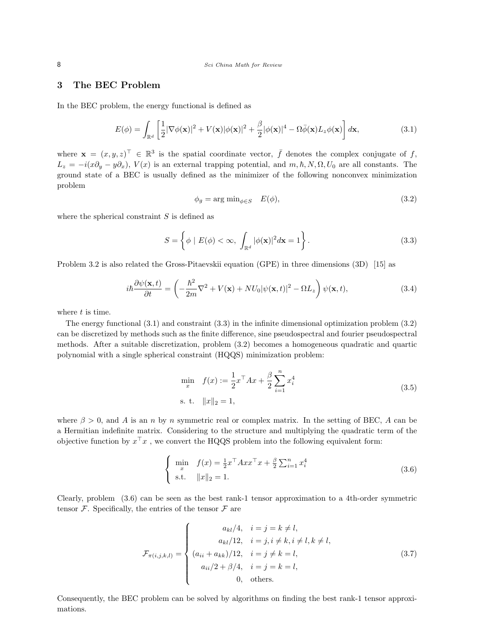# 3 The BEC Problem

In the BEC problem, the energy functional is defined as

$$
E(\phi) = \int_{\mathbb{R}^d} \left[ \frac{1}{2} |\nabla \phi(\mathbf{x})|^2 + V(\mathbf{x}) |\phi(\mathbf{x})|^2 + \frac{\beta}{2} |\phi(\mathbf{x})|^4 - \Omega \bar{\phi}(\mathbf{x}) L_z \phi(\mathbf{x}) \right] d\mathbf{x},\tag{3.1}
$$

where  $\mathbf{x} = (x, y, z)^{\top} \in \mathbb{R}^{3}$  is the spatial coordinate vector,  $\bar{f}$  denotes the complex conjugate of f,  $L_z = -i(x\partial_y - y\partial_x)$ ,  $V(x)$  is an external trapping potential, and  $m, \hbar, N, \Omega, U_0$  are all constants. The ground state of a BEC is usually defined as the minimizer of the following nonconvex minimization problem

$$
\phi_g = \arg \min_{\phi \in S} \quad E(\phi), \tag{3.2}
$$

where the spherical constraint  $S$  is defined as

$$
S = \left\{ \phi \mid E(\phi) < \infty, \int_{\mathbb{R}^d} |\phi(\mathbf{x})|^2 d\mathbf{x} = 1 \right\}.
$$
\n(3.3)

Problem 3.2 is also related the Gross-Pitaevskii equation (GPE) in three dimensions (3D) [15] as

$$
i\hbar \frac{\partial \psi(\mathbf{x},t)}{\partial t} = \left(-\frac{\hbar^2}{2m}\nabla^2 + V(\mathbf{x}) + NU_0|\psi(\mathbf{x},t)|^2 - \Omega L_z\right)\psi(\mathbf{x},t),\tag{3.4}
$$

where  $t$  is time.

The energy functional (3.1) and constraint (3.3) in the infinite dimensional optimization problem (3.2) can be discretized by methods such as the finite difference, sine pseudospectral and fourier pseudospectral methods. After a suitable discretization, problem (3.2) becomes a homogeneous quadratic and quartic polynomial with a single spherical constraint (HQQS) minimization problem:

$$
\min_{x} \quad f(x) := \frac{1}{2} x^{\top} A x + \frac{\beta}{2} \sum_{i=1}^{n} x_i^4
$$
\n
$$
\text{s. t.} \quad \|x\|_2 = 1,\tag{3.5}
$$

where  $\beta > 0$ , and A is an n by n symmetric real or complex matrix. In the setting of BEC, A can be a Hermitian indefinite matrix. Considering to the structure and multiplying the quadratic term of the objective function by  $x^{\top}x$ , we convert the HQQS problem into the following equivalent form:

$$
\begin{cases}\n\min_{x} & f(x) = \frac{1}{2} x^{\top} A x x^{\top} x + \frac{\beta}{2} \sum_{i=1}^{n} x_i^4 \\
\text{s.t.} & ||x||_2 = 1.\n\end{cases}
$$
\n(3.6)

Clearly, problem (3.6) can be seen as the best rank-1 tensor approximation to a 4th-order symmetric tensor  $\mathcal F$ . Specifically, the entries of the tensor  $\mathcal F$  are

$$
\mathcal{F}_{\pi(i,j,k,l)} = \begin{cases}\n a_{kl}/4, & i = j = k \neq l, \\
 a_{kl}/12, & i = j, i \neq k, i \neq l, k \neq l, \\
 (a_{ii} + a_{kk})/12, & i = j \neq k = l, \\
 a_{ii}/2 + \beta/4, & i = j = k = l,\n\end{cases}
$$
\n(3.7)

Consequently, the BEC problem can be solved by algorithms on finding the best rank-1 tensor approximations.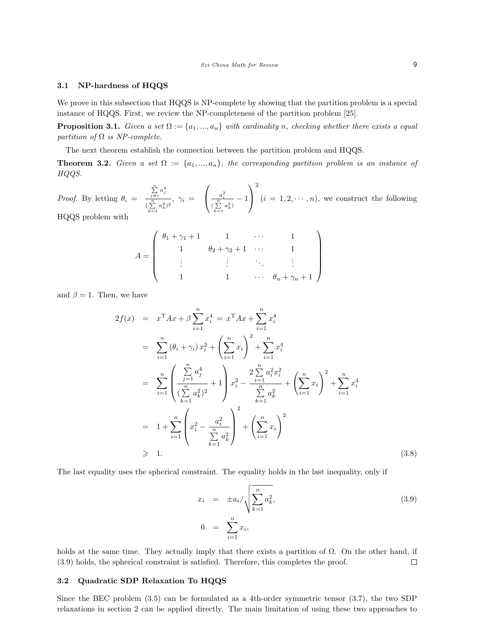#### 3.1 NP-hardness of HQQS

We prove in this subsection that HQQS is NP-complete by showing that the partition problem is a special instance of HQQS. First, we review the NP-completeness of the partition problem [25].

**Proposition 3.1.** Given a set  $\Omega := \{a_1, ..., a_n\}$  with cardinality n, checking whether there exists a equal partition of  $\Omega$  is NP-complete.

The next theorem establish the connection between the partition problem and HQQS.

**Theorem 3.2.** Given a set  $\Omega := \{a_1, ..., a_n\}$ , the corresponding partition problem is an instance of HQQS.

*Proof.* By letting  $\theta_i =$  $\sum_{j\neq i}^n a_j^4$  $\frac{\frac{j}{\gamma}}{(\sum\limits_{k=1}^n a_k^2)^2}, \ \gamma_i =$  $\sqrt{ }$  $\frac{a_i^2}{\left(\frac{n}{\sum}\right)}$  $\frac{a_i}{(\sum\limits_{k=1}^n a_k^2)} - 1$  $\setminus$  $\overline{1}$ 2  $(i = 1, 2, \dots, n)$ , we construct the following HQQS problem with

$$
A = \left( \begin{array}{ccccc} \theta_1 + \gamma_1 + 1 & 1 & \cdots & 1 \\ 1 & \theta_2 + \gamma_2 + 1 & \cdots & 1 \\ \vdots & \vdots & \ddots & \vdots \\ 1 & 1 & \cdots & \theta_n + \gamma_n + 1 \end{array} \right)
$$

and  $\beta = 1$ . Then, we have

$$
2f(x) = x^{T}Ax + \beta \sum_{i=1}^{n} x_{i}^{4} = x^{T}Ax + \sum_{i=1}^{n} x_{i}^{4}
$$
\n
$$
= \sum_{i=1}^{n} (\theta_{i} + \gamma_{i}) x_{i}^{2} + \left(\sum_{i=1}^{n} x_{i}\right)^{2} + \sum_{i=1}^{n} x_{i}^{4}
$$
\n
$$
= \sum_{i=1}^{n} \left(\frac{\sum_{j=1}^{n} a_{j}^{4}}{\sum_{k=1}^{n} a_{k}^{2}}\right) x_{i}^{2} - \frac{2 \sum_{i=1}^{n} a_{i}^{2} x_{i}^{2}}{\sum_{k=1}^{n} a_{k}^{2}} + \left(\sum_{i=1}^{n} x_{i}\right)^{2} + \sum_{i=1}^{n} x_{i}^{4}
$$
\n
$$
= 1 + \sum_{i=1}^{n} \left(x_{i}^{2} - \frac{a_{i}^{2}}{\sum_{k=1}^{n} a_{k}^{2}}\right)^{2} + \left(\sum_{i=1}^{n} x_{i}\right)^{2}
$$
\n
$$
\geq 1.
$$
\n(3.8)

The last equality uses the spherical constraint. The equality holds in the last inequality, only if

$$
x_i = \pm a_i / \sqrt{\sum_{k=1}^n a_k^2},
$$
  
\n
$$
0 = \sum_{i=1}^n x_i,
$$
\n(3.9)

holds at the same time. They actually imply that there exists a partition of  $\Omega$ . On the other hand, if (3.9) holds, the spherical constraint is satisfied. Therefore, this completes the proof.  $\Box$ 

## 3.2 Quadratic SDP Relaxation To HQQS

Since the BEC problem (3.5) can be formulated as a 4th-order symmetric tensor (3.7), the two SDP relaxations in section 2 can be applied directly. The main limitation of using these two approaches to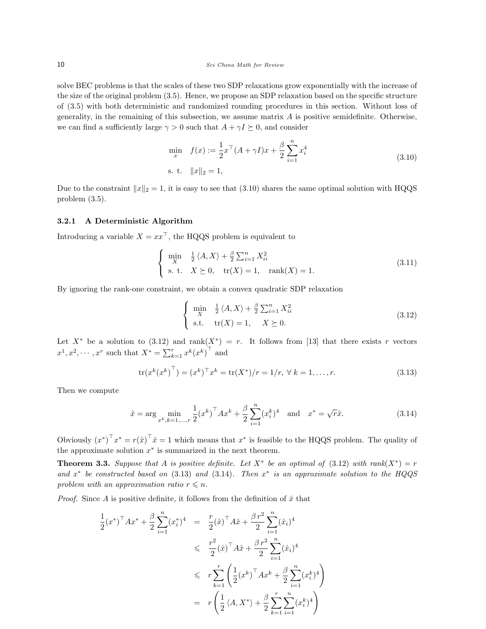solve BEC problems is that the scales of these two SDP relaxations grow exponentially with the increase of the size of the original problem (3.5). Hence, we propose an SDP relaxation based on the specific structure of (3.5) with both deterministic and randomized rounding procedures in this section. Without loss of generality, in the remaining of this subsection, we assume matrix  $A$  is positive semidefinite. Otherwise, we can find a sufficiently large  $\gamma > 0$  such that  $A + \gamma I \succeq 0$ , and consider

$$
\min_{x} \quad f(x) := \frac{1}{2} x^{\top} (A + \gamma I) x + \frac{\beta}{2} \sum_{i=1}^{n} x_i^4
$$
\n
$$
\text{s. t.} \quad ||x||_2 = 1,\tag{3.10}
$$

Due to the constraint  $||x||_2 = 1$ , it is easy to see that (3.10) shares the same optimal solution with HQQS problem (3.5).

## 3.2.1 A Deterministic Algorithm

Introducing a variable  $X = xx^\top$ , the HQQS problem is equivalent to

$$
\begin{cases}\n\min_{X} & \frac{1}{2} \langle A, X \rangle + \frac{\beta}{2} \sum_{i=1}^{n} X_{ii}^{2} \\
\text{s. t.} & X \succeq 0, \quad \text{tr}(X) = 1, \quad \text{rank}(X) = 1.\n\end{cases}
$$
\n(3.11)

By ignoring the rank-one constraint, we obtain a convex quadratic SDP relaxation

$$
\begin{cases}\n\min_{X} & \frac{1}{2} \langle A, X \rangle + \frac{\beta}{2} \sum_{i=1}^{n} X_{ii}^{2} \\
\text{s.t.} & \text{tr}(X) = 1, \quad X \succeq 0.\n\end{cases}
$$
\n(3.12)

Let  $X^*$  be a solution to (3.12) and rank $(X^*) = r$ . It follows from [13] that there exists r vectors  $x^1, x^2, \dots, x^r$  such that  $X^* = \sum_{k=1}^r x^k (x^k)^\top$  and

$$
\text{tr}(x^k(x^k)^\top) = (x^k)^\top x^k = \text{tr}(X^*)/r = 1/r, \ \forall \ k = 1, \dots, r.
$$
 (3.13)

Then we compute

$$
\hat{x} = \arg \min_{x^k, k=1,\dots,r} \frac{1}{2} (x^k)^\top A x^k + \frac{\beta}{2} \sum_{i=1}^n (x_i^k)^4 \text{ and } x^* = \sqrt{r} \hat{x}.
$$
 (3.14)

Obviously  $(x^*)^{\top} x^* = r(\hat{x})^{\top} \hat{x} = 1$  which means that  $x^*$  is feasible to the HQQS problem. The quality of the approximate solution  $x^*$  is summarized in the next theorem.

**Theorem 3.3.** Suppose that A is positive definite. Let  $X^*$  be an optimal of (3.12) with rank $(X^*) = r$ and  $x^*$  be constructed based on (3.13) and (3.14). Then  $x^*$  is an approximate solution to the HQQS problem with an approximation ratio  $r \leq n$ .

*Proof.* Since A is positive definite, it follows from the definition of  $\hat{x}$  that

$$
\frac{1}{2}(x^*)^\top Ax^* + \frac{\beta}{2} \sum_{i=1}^n (x_i^*)^4 = \frac{r}{2}(\hat{x})^\top A \hat{x} + \frac{\beta r^2}{2} \sum_{i=1}^n (\hat{x}_i)^4
$$
\n
$$
\leq \frac{r^2}{2}(\hat{x})^\top A \hat{x} + \frac{\beta r^2}{2} \sum_{i=1}^n (\hat{x}_i)^4
$$
\n
$$
\leq r \sum_{k=1}^r \left( \frac{1}{2} (x^k)^\top A x^k + \frac{\beta}{2} \sum_{i=1}^n (x_i^k)^4 \right)
$$
\n
$$
= r \left( \frac{1}{2} \langle A, X^* \rangle + \frac{\beta}{2} \sum_{k=1}^r \sum_{i=1}^n (x_i^k)^4 \right)
$$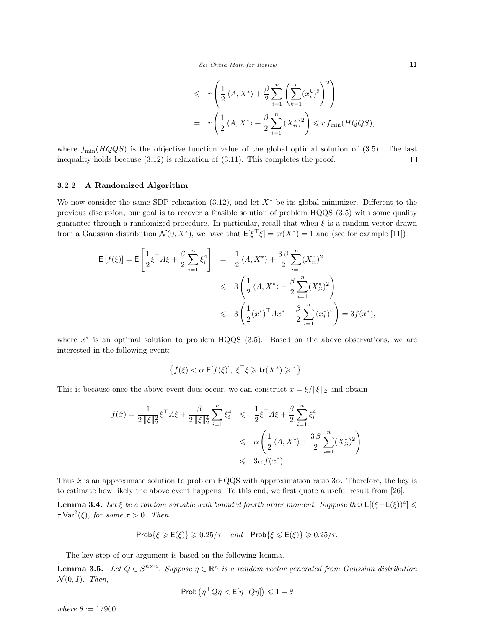$$
\leq r \left( \frac{1}{2} \langle A, X^* \rangle + \frac{\beta}{2} \sum_{i=1}^n \left( \sum_{k=1}^r (x_i^k)^2 \right)^2 \right)
$$
  
=  $r \left( \frac{1}{2} \langle A, X^* \rangle + \frac{\beta}{2} \sum_{i=1}^n (X_{ii}^*)^2 \right) \leq r f_{\min}(HQQS),$ 

where  $f_{\min}(HQQS)$  is the objective function value of the global optimal solution of (3.5). The last inequality holds because (3.12) is relaxation of (3.11). This completes the proof.  $\Box$ 

#### 3.2.2 A Randomized Algorithm

We now consider the same SDP relaxation  $(3.12)$ , and let  $X^*$  be its global minimizer. Different to the previous discussion, our goal is to recover a feasible solution of problem HQQS (3.5) with some quality guarantee through a randomized procedure. In particular, recall that when  $\xi$  is a random vector drawn from a Gaussian distribution  $\mathcal{N}(0, X^*)$ , we have that  $\mathsf{E}[\xi^\top \xi] = \text{tr}(X^*) = 1$  and (see for example [11])

$$
\begin{array}{lcl} \mathsf{E}\left[f(\xi)\right] = \mathsf{E}\left[\frac{1}{2}\xi^\top A \xi + \frac{\beta}{2} \sum_{i=1}^n \xi_i^4\right] & = & \frac{1}{2} \left\langle A, X^*\right\rangle + \frac{3\,\beta}{2} \sum_{i=1}^n (X_{ii}^*)^2 \\ \\ & \leqslant & 3 \left(\frac{1}{2} \left\langle A, X^*\right\rangle + \frac{\beta}{2} \sum_{i=1}^n (X_{ii}^*)^2\right) \\ \\ & \leqslant & 3 \left(\frac{1}{2} (x^*)^\top A x^* + \frac{\beta}{2} \sum_{i=1}^n \left(x_i^*\right)^4\right) = 3 f(x^*), \end{array}
$$

where  $x^*$  is an optimal solution to problem HQQS (3.5). Based on the above observations, we are interested in the following event:

$$
\left\{f(\xi) < \alpha \ \mathsf{E}[f(\xi)], \ \xi^\top \xi \geqslant \text{tr}(X^*) \geqslant 1 \right\}.
$$

This is because once the above event does occur, we can construct  $\hat{x} = \xi / ||\xi||_2$  and obtain

$$
f(\hat{x}) = \frac{1}{2 \|\xi\|_2^2} \xi^\top A \xi + \frac{\beta}{2 \|\xi\|_2^4} \sum_{i=1}^n \xi_i^4 \leq \frac{1}{2} \xi^\top A \xi + \frac{\beta}{2} \sum_{i=1}^n \xi_i^4
$$
  

$$
\leq \alpha \left( \frac{1}{2} \langle A, X^* \rangle + \frac{3 \beta}{2} \sum_{i=1}^n (X_{ii}^*)^2 \right)
$$
  

$$
\leq \frac{3\alpha}{2} f(x^*).
$$

Thus  $\hat{x}$  is an approximate solution to problem HQQS with approximation ratio 3 $\alpha$ . Therefore, the key is to estimate how likely the above event happens. To this end, we first quote a useful result from [26].

**Lemma 3.4.** Let  $\xi$  be a random variable with bounded fourth order moment. Suppose that  $E[(\xi-E(\xi))^4] \le$  $\tau$  Var<sup>2</sup>( $\xi$ ), for some  $\tau > 0$ . Then

$$
Prob\{\xi \geqslant E(\xi)\} \geqslant 0.25/\tau \quad and \quad Prob\{\xi \leqslant E(\xi)\} \geqslant 0.25/\tau.
$$

The key step of our argument is based on the following lemma.

**Lemma 3.5.** Let  $Q \in S^{n \times n}_+$ . Suppose  $\eta \in \mathbb{R}^n$  is a random vector generated from Gaussian distribution  $\mathcal{N}(0,I)$ . Then,

$$
\mathsf{Prob}\left(\eta^{\top} Q \eta < \mathsf{E}[\eta^{\top} Q \eta]\right) \leqslant 1 - \theta
$$

where  $\theta := 1/960$ .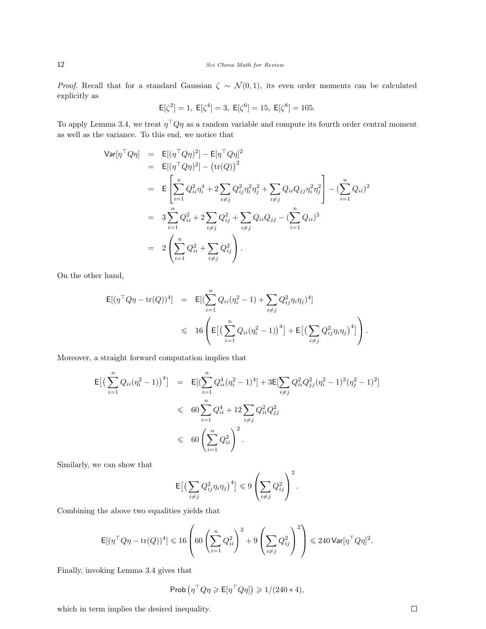*Proof.* Recall that for a standard Gaussian  $\zeta \sim \mathcal{N}(0, 1)$ , its even order moments can be calculated explicitly as

$$
\mathsf{E}[\zeta^2] = 1, \ \mathsf{E}[\zeta^4] = 3, \ \mathsf{E}[\zeta^6] = 15, \ \mathsf{E}[\zeta^8] = 105.
$$

To apply Lemma 3.4, we treat  $\eta^{\top} Q \eta$  as a random variable and compute its fourth order central moment as well as the variance. To this end, we notice that

$$
\begin{aligned}\n\text{Var}[\eta^\top Q \eta] &= \mathsf{E}[(\eta^\top Q \eta)^2] - \mathsf{E}[\eta^\top Q \eta]^2 \\
&= \mathsf{E}[(\eta^\top Q \eta)^2] - (\text{tr}(Q))^2 \\
&= \mathsf{E}\left[\sum_{i=1}^n Q_{ii}^2 \eta_i^4 + 2 \sum_{i \neq j} Q_{ij}^2 \eta_i^2 \eta_j^2 + \sum_{i \neq j} Q_{ii} Q_{jj} \eta_i^2 \eta_j^2\right] - (\sum_{i=1}^n Q_{ii})^2 \\
&= 3 \sum_{i=1}^n Q_{ii}^2 + 2 \sum_{i \neq j} Q_{ij}^2 + \sum_{i \neq j} Q_{ii} Q_{jj} - (\sum_{i=1}^n Q_{ii})^2 \\
&= 2 \left(\sum_{i=1}^n Q_{ii}^2 + \sum_{i \neq j} Q_{ij}^2\right).\n\end{aligned}
$$

On the other hand,

$$
\mathsf{E}[(\eta^\top Q \eta - \text{tr}(Q))^4] = \mathsf{E}[(\sum_{i=1}^n Q_{ii}(\eta_i^2 - 1) + \sum_{i \neq j} Q_{ij}^2 \eta_i \eta_j)^4] \le 16 \left( \mathsf{E}[(\sum_{i=1}^n Q_{ii}(\eta_i^2 - 1))^4] + \mathsf{E}[(\sum_{i \neq j} Q_{ij}^2 \eta_i \eta_j)^4] \right).
$$

Moreover, a straight forward computation implies that

$$
\mathsf{E}\big[\big(\sum_{i=1}^{n}Q_{ii}(\eta_i^2-1)\big)^4\big] = \mathsf{E}\big[\big(\sum_{i=1}^{n}Q_{ii}^4(\eta_i^2-1)^4\big] + 3\mathsf{E}\big[\sum_{i\neq j}Q_{ii}^2Q_{jj}^2(\eta_i^2-1)^2(\eta_j^2-1)^2\big] \n\leq 60\sum_{i=1}^{n}Q_{ii}^4 + 12\sum_{i\neq j}Q_{ii}^2Q_{jj}^2 \n\leq 60\left(\sum_{i=1}^{n}Q_{ii}^2\right)^2.
$$

Similarly, we can show that

$$
\mathsf{E}\big[\big(\sum_{i\neq j}Q_{ij}^2\eta_i\eta_j\big)^4\big]\leqslant 9\left(\sum_{i\neq j}Q_{ij}^2\right)^2.
$$

Combining the above two equalities yields that

$$
\mathsf{E}[(\eta^\top Q \eta - \mathrm{tr}(Q))^4] \leqslant 16 \left( 60 \left( \sum_{i=1}^n Q_{ii}^2 \right)^2 + 9 \left( \sum_{i \neq j} Q_{ij}^2 \right)^2 \right) \leqslant 240 \mathsf{Var}[\eta^\top Q \eta]^2.
$$

Finally, invoking Lemma 3.4 gives that

$$
\mathrm{Prob}\left(\eta^\top Q \eta \geqslant \mathsf{E}[\eta^\top Q \eta]\right) \geqslant 1/(240*4),
$$

which in term implies the desired inequality.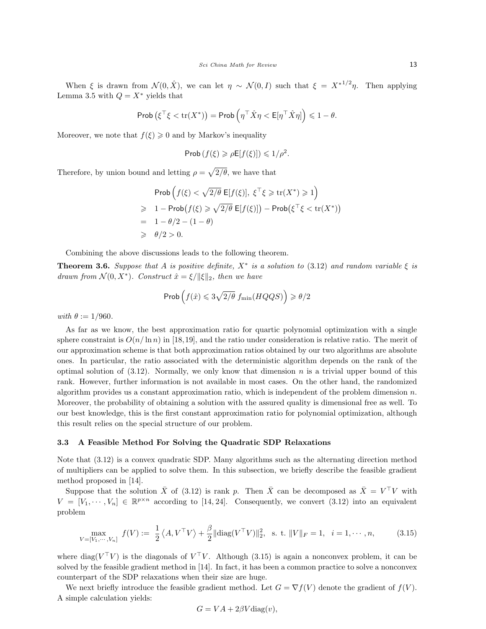When  $\xi$  is drawn from  $\mathcal{N}(0, \hat{X})$ , we can let  $\eta \sim \mathcal{N}(0, I)$  such that  $\xi = X^{*1/2}\eta$ . Then applying Lemma 3.5 with  $Q = X^*$  yields that

$$
\mathrm{Prob}\left(\xi^\top \xi < \mathrm{tr}(X^*)\right) = \mathrm{Prob}\left(\eta^\top \hat{X} \eta < \mathsf{E}[\eta^\top \hat{X} \eta]\right) \leqslant 1 - \theta.
$$

Moreover, we note that  $f(\xi) \geq 0$  and by Markov's inequality

$$
\mathsf{Prob}\left(f(\xi) \geqslant \rho \mathsf{E}[f(\xi)]\right) \leqslant 1/\rho^2.
$$

Therefore, by union bound and letting  $\rho = \sqrt{2/\theta}$ , we have that

$$
\begin{aligned}\n\text{Prob}\left(f(\xi) < \sqrt{2/\theta} \mathsf{E}[f(\xi)], \ \xi^\top \xi \geq \text{tr}(X^*) \geq 1\right) \\
&\geq 1 - \text{Prob}\left(f(\xi) \geq \sqrt{2/\theta} \mathsf{E}[f(\xi)]\right) - \text{Prob}\left(\xi^\top \xi < \text{tr}(X^*)\right) \\
&= 1 - \theta/2 - (1 - \theta) \\
&\geq \theta/2 > 0.\n\end{aligned}
$$

Combining the above discussions leads to the following theorem.

**Theorem 3.6.** Suppose that A is positive definite,  $X^*$  is a solution to (3.12) and random variable  $\xi$  is drawn from  $\mathcal{N}(0, X^*)$ . Construct  $\hat{x} = \xi / ||\xi||_2$ , then we have

$$
\mathrm{Prob}\left(f(\hat{x}) \leqslant 3\sqrt{2/\theta}\; f_{\mathrm{min}}(HQQS)\right) \geqslant \theta/2
$$

with  $\theta := 1/960$ .

As far as we know, the best approximation ratio for quartic polynomial optimization with a single sphere constraint is  $O(n/\ln n)$  in [18,19], and the ratio under consideration is relative ratio. The merit of our approximation scheme is that both approximation ratios obtained by our two algorithms are absolute ones. In particular, the ratio associated with the deterministic algorithm depends on the rank of the optimal solution of  $(3.12)$ . Normally, we only know that dimension n is a trivial upper bound of this rank. However, further information is not available in most cases. On the other hand, the randomized algorithm provides us a constant approximation ratio, which is independent of the problem dimension  $n$ . Moreover, the probability of obtaining a solution with the assured quality is dimensional free as well. To our best knowledge, this is the first constant approximation ratio for polynomial optimization, although this result relies on the special structure of our problem.

#### 3.3 A Feasible Method For Solving the Quadratic SDP Relaxations

Note that (3.12) is a convex quadratic SDP. Many algorithms such as the alternating direction method of multipliers can be applied to solve them. In this subsection, we briefly describe the feasible gradient method proposed in [14].

Suppose that the solution  $\bar{X}$  of (3.12) is rank p. Then  $\bar{X}$  can be decomposed as  $\bar{X} = V^{\top}V$  with  $V = [V_1, \dots, V_n] \in \mathbb{R}^{p \times n}$  according to [14, 24]. Consequently, we convert (3.12) into an equivalent problem

$$
\max_{V = [V_1, \cdots, V_n]} f(V) := \frac{1}{2} \langle A, V^\top V \rangle + \frac{\beta}{2} || \text{diag}(V^\top V) ||_2^2, \text{ s. t. } ||V||_F = 1, \quad i = 1, \cdots, n,
$$
 (3.15)

where diag( $V^{\top}V$ ) is the diagonals of  $V^{\top}V$ . Although (3.15) is again a nonconvex problem, it can be solved by the feasible gradient method in [14]. In fact, it has been a common practice to solve a nonconvex counterpart of the SDP relaxations when their size are huge.

We next briefly introduce the feasible gradient method. Let  $G = \nabla f(V)$  denote the gradient of  $f(V)$ . A simple calculation yields:

$$
G = VA + 2\beta V \text{diag}(v),
$$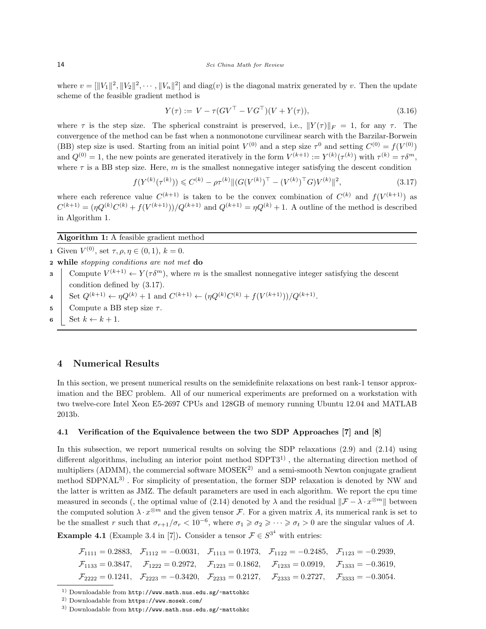where  $v = [\|V_1\|^2, \|V_2\|^2, \cdots, \|V_n\|^2]$  and  $diag(v)$  is the diagonal matrix generated by v. Then the update scheme of the feasible gradient method is

$$
Y(\tau) := V - \tau (GV^{\top} - VG^{\top})(V + Y(\tau)), \tag{3.16}
$$

where  $\tau$  is the step size. The spherical constraint is preserved, i.e.,  $||Y(\tau)||_F = 1$ , for any  $\tau$ . The convergence of the method can be fast when a nonmonotone curvilinear search with the Barzilar-Borwein (BB) step size is used. Starting from an initial point  $V^{(0)}$  and a step size  $\tau^0$  and setting  $C^{(0)} = f(V^{(0)})$ and  $Q^{(0)} = 1$ , the new points are generated iteratively in the form  $V^{(k+1)} := Y^{(k)}(\tau^{(k)})$  with  $\tau^{(k)} = \tau \delta^m$ , where  $\tau$  is a BB step size. Here, m is the smallest nonnegative integer satisfying the descent condition

$$
f(Y^{(k)}(\tau^{(k)})) \leq C^{(k)} - \rho \tau^{(k)} \| (G(V^{(k)})^{\top} - (V^{(k)})^{\top} G) V^{(k)} \|^2,
$$
\n(3.17)

where each reference value  $C^{(k+1)}$  is taken to be the convex combination of  $C^{(k)}$  and  $f(V^{(k+1)})$  as  $C^{(k+1)} = (\eta Q^{(k)} C^{(k)} + f(V^{(k+1)}))/Q^{(k+1)}$  and  $Q^{(k+1)} = \eta Q^{(k)} + 1$ . A outline of the method is described in Algorithm 1.

## Algorithm 1: A feasible gradient method

- 1 Given  $V^{(0)}$ , set  $\tau, \rho, \eta \in (0, 1), k = 0$ .
- 2 while stopping conditions are not met do
- **3** Compute  $V^{(k+1)} \leftarrow Y(\tau \delta^m)$ , where m is the smallest nonnegative integer satisfying the descent condition defined by (3.17).
- 4 Set  $Q^{(k+1)} \leftarrow \eta Q^{(k)} + 1$  and  $C^{(k+1)} \leftarrow (\eta Q^{(k)} C^{(k)} + f(V^{(k+1)}))/Q^{(k+1)}$ .
- 5 Compute a BB step size  $\tau$ .
- 6 | Set  $k \leftarrow k+1$ .

# 4 Numerical Results

In this section, we present numerical results on the semidefinite relaxations on best rank-1 tensor approximation and the BEC problem. All of our numerical experiments are preformed on a workstation with two twelve-core Intel Xeon E5-2697 CPUs and 128GB of memory running Ubuntu 12.04 and MATLAB 2013b.

# 4.1 Verification of the Equivalence between the two SDP Approaches [7] and [8]

In this subsection, we report numerical results on solving the SDP relaxations (2.9) and (2.14) using different algorithms, including an interior point method  $SDPT3<sup>1</sup>$ , the alternating direction method of multipliers (ADMM), the commercial software  $MOSEK<sup>2</sup>$  and a semi-smooth Newton conjugate gradient method SDPNAL3) . For simplicity of presentation, the former SDP relaxation is denoted by NW and the latter is written as JMZ. The default parameters are used in each algorithm. We report the cpu time measured in seconds (, the optimal value of (2.14) denoted by  $\lambda$  and the residual  $\|\mathcal{F} - \lambda \cdot x^{\otimes m}\|$  between the computed solution  $\lambda \cdot x^{\otimes m}$  and the given tensor F. For a given matrix A, its numerical rank is set to be the smallest r such that  $\sigma_{r+1}/\sigma_r < 10^{-6}$ , where  $\sigma_1 \geq \sigma_2 \geq \cdots \geq \sigma_t > 0$  are the singular values of A.

**Example 4.1** (Example 3.4 in [7]). Consider a tensor  $\mathcal{F} \in S^{3^4}$  with entries:

$$
\mathcal{F}_{1111} = 0.2883, \quad \mathcal{F}_{1112} = -0.0031, \quad \mathcal{F}_{1113} = 0.1973, \quad \mathcal{F}_{1122} = -0.2485, \quad \mathcal{F}_{1123} = -0.2939,
$$
\n
$$
\mathcal{F}_{1133} = 0.3847, \quad \mathcal{F}_{1222} = 0.2972, \quad \mathcal{F}_{1223} = 0.1862, \quad \mathcal{F}_{1233} = 0.0919, \quad \mathcal{F}_{1333} = -0.3619,
$$
\n
$$
\mathcal{F}_{2222} = 0.1241, \quad \mathcal{F}_{2223} = -0.3420, \quad \mathcal{F}_{2233} = 0.2127, \quad \mathcal{F}_{2333} = 0.2727, \quad \mathcal{F}_{3333} = -0.3054.
$$

<sup>1)</sup> Downloadable from http://www.math.nus.edu.sg/~mattohkc

<sup>2)</sup> Downloadable from https://www.mosek.com/

 $^{\rm 3)}$ Downloadable from  ${\tt http://www.math.nus.edu.sg/~mattohkc}$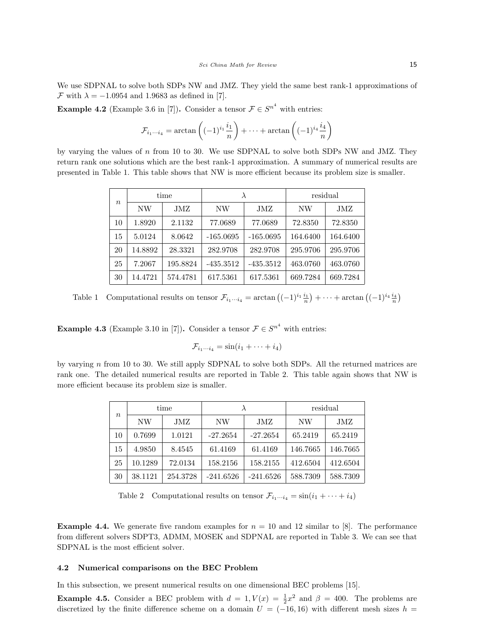We use SDPNAL to solve both SDPs NW and JMZ. They yield the same best rank-1 approximations of F with  $\lambda = -1.0954$  and 1.9683 as defined in [7].

**Example 4.2** (Example 3.6 in [7]). Consider a tensor  $\mathcal{F} \in S^{n^4}$  with entries:

$$
\mathcal{F}_{i_1\cdots i_4} = \arctan\left((-1)^{i_1} \frac{i_1}{n}\right) + \cdots + \arctan\left((-1)^{i_4} \frac{i_4}{n}\right)
$$

by varying the values of n from 10 to 30. We use SDPNAL to solve both SDPs NW and JMZ. They return rank one solutions which are the best rank-1 approximation. A summary of numerical results are presented in Table 1. This table shows that NW is more efficient because its problem size is smaller.

| $\,n$ |         | time     |             |             | residual |          |  |
|-------|---------|----------|-------------|-------------|----------|----------|--|
|       | NW      | JMZ      | NW          | JMZ         | NW       | JMZ      |  |
| 10    | 1.8920  | 2.1132   | 77.0689     | 77.0689     | 72.8350  | 72.8350  |  |
| 15    | 5.0124  | 8.0642   | $-165.0695$ | $-165.0695$ | 164.6400 | 164.6400 |  |
| 20    | 14.8892 | 28.3321  | 282.9708    | 282.9708    | 295.9706 | 295.9706 |  |
| 25    | 7.2067  | 195.8824 | $-435.3512$ | $-435.3512$ | 463.0760 | 463.0760 |  |
| 30    | 14.4721 | 574.4781 | 617.5361    | 617.5361    | 669.7284 | 669.7284 |  |

Table 1 Computational results on tensor  $\mathcal{F}_{i_1\cdots i_4} = \arctan\left((-1)^{i_1}\frac{i_1}{n}\right) + \cdots + \arctan\left((-1)^{i_4}\frac{i_4}{n}\right)$ 

**Example 4.3** (Example 3.10 in [7]). Consider a tensor  $\mathcal{F} \in S^{n^4}$  with entries:

$$
\mathcal{F}_{i_1\cdots i_4} = \sin(i_1 + \cdots + i_4)
$$

by varying n from 10 to 30. We still apply SDPNAL to solve both SDPs. All the returned matrices are rank one. The detailed numerical results are reported in Table 2. This table again shows that NW is more efficient because its problem size is smaller.

| $\boldsymbol{n}$ | time    |          |             |             | residual |          |  |
|------------------|---------|----------|-------------|-------------|----------|----------|--|
|                  | NW      | JMZ      | NW          | JMZ         | NW       | JMZ      |  |
| 10               | 0.7699  | 1.0121   | $-27.2654$  | $-27.2654$  | 65.2419  | 65.2419  |  |
| 15               | 4.9850  | 8.4545   | 61.4169     | 61.4169     | 146.7665 | 146.7665 |  |
| 25               | 10.1289 | 72.0134  | 158.2156    | 158.2155    | 412.6504 | 412.6504 |  |
| 30               | 38.1121 | 254.3728 | $-241.6526$ | $-241.6526$ | 588.7309 | 588.7309 |  |

Table 2 Computational results on tensor  $\mathcal{F}_{i_1\cdots i_4} = \sin(i_1 + \cdots + i_4)$ 

**Example 4.4.** We generate five random examples for  $n = 10$  and 12 similar to [8]. The performance from different solvers SDPT3, ADMM, MOSEK and SDPNAL are reported in Table 3. We can see that SDPNAL is the most efficient solver.

## 4.2 Numerical comparisons on the BEC Problem

In this subsection, we present numerical results on one dimensional BEC problems [15].

**Example 4.5.** Consider a BEC problem with  $d = 1, V(x) = \frac{1}{2}x^2$  and  $\beta = 400$ . The problems are discretized by the finite difference scheme on a domain  $U = (-16, 16)$  with different mesh sizes  $h =$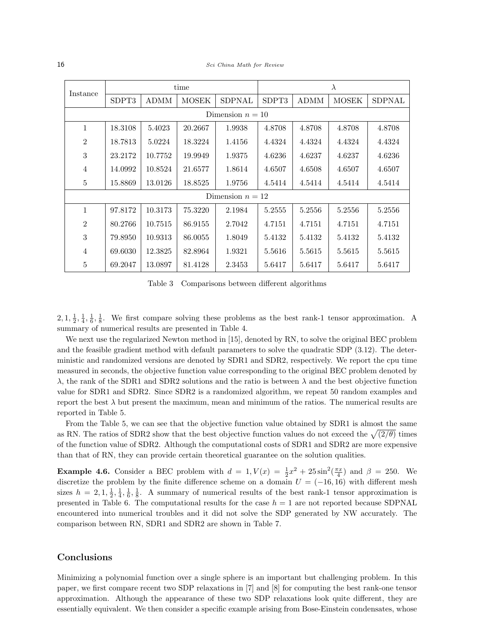16 Sci China Math for Review

| Instance           |         |         | time         |                    | $\lambda$ |             |              |               |  |
|--------------------|---------|---------|--------------|--------------------|-----------|-------------|--------------|---------------|--|
|                    | SDPT3   | ADMM    | <b>MOSEK</b> | SDPNAL             | SDPT3     | <b>ADMM</b> | <b>MOSEK</b> | <b>SDPNAL</b> |  |
| Dimension $n = 10$ |         |         |              |                    |           |             |              |               |  |
| $\mathbf{1}$       | 18.3108 | 5.4023  | 20.2667      | 1.9938             | 4.8708    | 4.8708      | 4.8708       | 4.8708        |  |
| $\overline{2}$     | 18.7813 | 5.0224  | 18.3224      | 1.4156             | 4.4324    | 4.4324      | 4.4324       | 4.4324        |  |
| 3                  | 23.2172 | 10.7752 | 19.9949      | 1.9375             | 4.6236    | 4.6237      | 4.6237       | 4.6236        |  |
| $\overline{4}$     | 14.0992 | 10.8524 | 21.6577      | 1.8614             | 4.6507    | 4.6508      | 4.6507       | 4.6507        |  |
| $\bf 5$            | 15.8869 | 13.0126 | 18.8525      | 1.9756             | 4.5414    | 4.5414      | 4.5414       | 4.5414        |  |
|                    |         |         |              | Dimension $n = 12$ |           |             |              |               |  |
| $\mathbf{1}$       | 97.8172 | 10.3173 | 75.3220      | 2.1984             | 5.2555    | 5.2556      | 5.2556       | 5.2556        |  |
| $\overline{2}$     | 80.2766 | 10.7515 | 86.9155      | 2.7042             | 4.7151    | 4.7151      | 4.7151       | 4.7151        |  |
| 3                  | 79.8950 | 10.9313 | 86.0055      | 1.8049             | 5.4132    | 5.4132      | 5.4132       | 5.4132        |  |
| $\overline{4}$     | 69.6030 | 12.3825 | 82.8964      | 1.9321             | 5.5616    | 5.5615      | 5.5615       | 5.5615        |  |
| $\overline{5}$     | 69.2047 | 13.0897 | 81.4128      | 2.3453             | 5.6417    | 5.6417      | 5.6417       | 5.6417        |  |

Table 3 Comparisons between different algorithms

 $2, 1, \frac{1}{2}, \frac{1}{4}, \frac{1}{6}, \frac{1}{8}$ . We first compare solving these problems as the best rank-1 tensor approximation. A summary of numerical results are presented in Table 4.

We next use the regularized Newton method in [15], denoted by RN, to solve the original BEC problem and the feasible gradient method with default parameters to solve the quadratic SDP (3.12). The deterministic and randomized versions are denoted by SDR1 and SDR2, respectively. We report the cpu time measured in seconds, the objective function value corresponding to the original BEC problem denoted by λ, the rank of the SDR1 and SDR2 solutions and the ratio is between λ and the best objective function value for SDR1 and SDR2. Since SDR2 is a randomized algorithm, we repeat 50 random examples and report the best  $\lambda$  but present the maximum, mean and minimum of the ratios. The numerical results are reported in Table 5.

From the Table 5, we can see that the objective function value obtained by SDR1 is almost the same as RN. The ratios of SDR2 show that the best objective function values do not exceed the  $\sqrt{(2/\theta)}$  times of the function value of SDR2. Although the computational costs of SDR1 and SDR2 are more expensive than that of RN, they can provide certain theoretical guarantee on the solution qualities.

**Example 4.6.** Consider a BEC problem with  $d = 1$ ,  $V(x) = \frac{1}{2}x^2 + 25\sin^2(\frac{\pi x}{4})$  and  $\beta = 250$ . We discretize the problem by the finite difference scheme on a domain  $U = (-16, 16)$  with different mesh sizes  $h = 2, 1, \frac{1}{2}, \frac{1}{4}, \frac{1}{6}, \frac{1}{8}$ . A summary of numerical results of the best rank-1 tensor approximation is presented in Table 6. The computational results for the case  $h = 1$  are not reported because SDPNAL encountered into numerical troubles and it did not solve the SDP generated by NW accurately. The comparison between RN, SDR1 and SDR2 are shown in Table 7.

# Conclusions

Minimizing a polynomial function over a single sphere is an important but challenging problem. In this paper, we first compare recent two SDP relaxations in [7] and [8] for computing the best rank-one tensor approximation. Although the appearance of these two SDP relaxations look quite different, they are essentially equivalent. We then consider a specific example arising from Bose-Einstein condensates, whose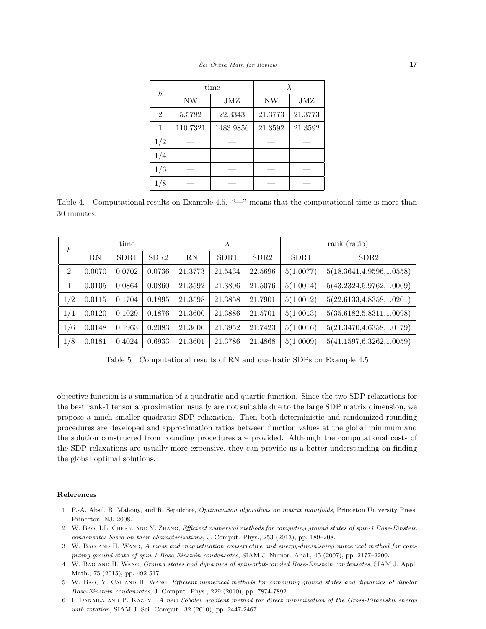| h              |          | time      |           |         |  |
|----------------|----------|-----------|-----------|---------|--|
|                | NW       | JMZ       | <b>NW</b> | JMZ     |  |
| $\overline{2}$ | 5.5782   | 22.3343   | 21.3773   | 21.3773 |  |
| 1              | 110.7321 | 1483.9856 | 21.3592   | 21.3592 |  |
| 1/2            |          |           |           |         |  |
| 1/4            |          |           |           |         |  |
| 1/6            |          |           |           |         |  |
|                |          |           |           |         |  |

Table 4. Computational results on Example 4.5. "—" means that the computational time is more than 30 minutes.

| $\boldsymbol{h}$ | time   |        |        | $\lambda$ |                  |         | rank (ratio)     |                            |  |
|------------------|--------|--------|--------|-----------|------------------|---------|------------------|----------------------------|--|
|                  | RN     | SDR1   | SDR2   | RN        | SDR <sub>1</sub> | SDR2    | SDR <sub>1</sub> | SDR <sub>2</sub>           |  |
| $\overline{2}$   | 0.0070 | 0.0702 | 0.0736 | 21.3773   | 21.5434          | 22.5696 | 5(1.0077)        | 5(18.3641, 4.9596, 1.0558) |  |
| 1                | 0.0105 | 0.0864 | 0.0860 | 21.3592   | 21.3896          | 21.5076 | 5(1.0014)        | 5(43.2324, 5.9762, 1.0069) |  |
| 1/2              | 0.0115 | 0.1704 | 0.1895 | 21.3598   | 21.3858          | 21.7901 | 5(1.0012)        | 5(22.6133, 4.8358, 1.0201) |  |
| 1/4              | 0.0120 | 0.1029 | 0.1876 | 21.3600   | 21.3886          | 21.5701 | 5(1.0013)        | 5(35.6182, 5.8311, 1.0098) |  |
| 1/6              | 0.0148 | 0.1963 | 0.2083 | 21.3600   | 21.3952          | 21.7423 | 5(1.0016)        | 5(21.3470, 4.6358, 1.0179) |  |
| 1/8              | 0.0181 | 0.4024 | 0.6933 | 21.3601   | 21.3786          | 21.4868 | 5(1.0009)        | 5(41.1597, 6.3262, 1.0059) |  |

Table 5 Computational results of RN and quadratic SDPs on Example 4.5

objective function is a summation of a quadratic and quartic function. Since the two SDP relaxations for the best rank-1 tensor approximation usually are not suitable due to the large SDP matrix dimension, we propose a much smaller quadratic SDP relaxation. Then both deterministic and randomized rounding procedures are developed and approximation ratios between function values at the global minimum and the solution constructed from rounding procedures are provided. Although the computational costs of the SDP relaxations are usually more expensive, they can provide us a better understanding on finding the global optimal solutions.

#### References

- 1 P.-A. Absil, R. Mahony, and R. Sepulchre, Optimization algorithms on matrix manifolds, Princeton University Press, Princeton, NJ, 2008.
- 2 W. Bao, I.L. Chern, and Y. Zhang, Efficient numerical methods for computing ground states of spin-1 Bose-Einstein condensates based on their characterizations, J. Comput. Phys., 253 (2013), pp. 189–208.
- 3 W. Bao and H. Wang, A mass and magnetization conservative and energy-diminishing numerical method for computing ground state of spin-1 Bose-Einstein condensates, SIAM J. Numer. Anal., 45 (2007), pp. 2177–2200.
- 4 W. Bao and H. Wang, Ground states and dynamics of spin-orbit-coupled Bose-Einstein condensates, SIAM J. Appl. Math., 75 (2015), pp. 492-517.
- 5 W. Bao, Y. Cai and H. Wang, Efficient numerical methods for computing ground states and dynamics of dipolar Bose-Einstein condensates, J. Comput. Phys., 229 (2010), pp. 7874-7892.
- 6 I. Danaila and P. Kazemi, A new Sobolev gradient method for direct minimization of the Gross-Pitaevskii energy with rotation, SIAM J. Sci. Comput., 32 (2010), pp. 2447-2467.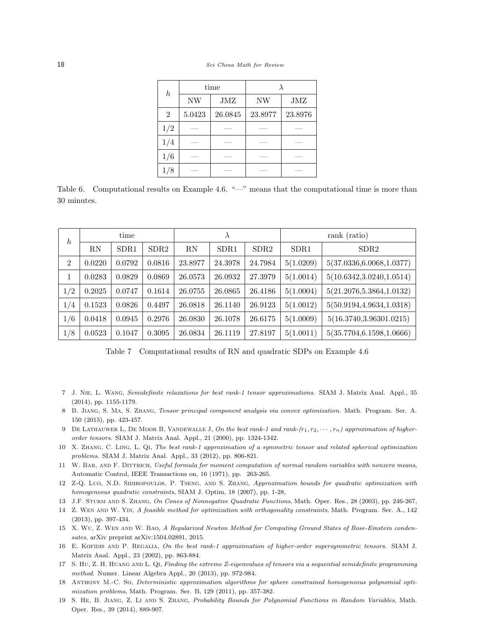| $\boldsymbol{h}$ |        | time    |         |         |  |
|------------------|--------|---------|---------|---------|--|
|                  | NW     | JMZ     | NW      | JMZ     |  |
| $\overline{2}$   | 5.0423 | 26.0845 | 23.8977 | 23.8976 |  |
| 1/2              |        |         |         |         |  |
| 1/4              |        |         |         |         |  |
| 1/6              |        |         |         |         |  |
|                  |        |         |         |         |  |

Table 6. Computational results on Example 4.6. "—" means that the computational time is more than 30 minutes.

| $\boldsymbol{h}$ | time   |                  |        | $\lambda$ |                  |         | rank (ratio)     |                            |  |
|------------------|--------|------------------|--------|-----------|------------------|---------|------------------|----------------------------|--|
|                  | RN     | SDR <sub>1</sub> | SDR2   | RN        | SDR <sub>1</sub> | SDR2    | SDR <sub>1</sub> | SDR <sub>2</sub>           |  |
| $\overline{2}$   | 0.0220 | 0.0792           | 0.0816 | 23.8977   | 24.3978          | 24.7984 | 5(1.0209)        | 5(37.0336, 6.0068, 1.0377) |  |
|                  | 0.0283 | 0.0829           | 0.0869 | 26.0573   | 26.0932          | 27.3979 | 5(1.0014)        | 5(10.6342, 3.0240, 1.0514) |  |
| 1/2              | 0.2025 | 0.0747           | 0.1614 | 26.0755   | 26.0865          | 26.4186 | 5(1.0004)        | 5(21.2076, 5.3864, 1.0132) |  |
| 1/4              | 0.1523 | 0.0826           | 0.4497 | 26.0818   | 26.1140          | 26.9123 | 5(1.0012)        | 5(50.9194, 4.9634, 1.0318) |  |
| 1/6              | 0.0418 | 0.0945           | 0.2976 | 26.0830   | 26.1078          | 26.6175 | 5(1.0009)        | 5(16.3740, 3.96301.0215)   |  |
| 1/8              | 0.0523 | 0.1047           | 0.3095 | 26.0834   | 26.1119          | 27.8197 | 5(1.0011)        | 5(35.7704, 6.1598, 1.0666) |  |

Table 7 Computational results of RN and quadratic SDPs on Example 4.6

- 7 J. Nie, L. Wang, Semidefinite relaxations for best rank-1 tensor approximations. SIAM J. Matrix Anal. Appl., 35 (2014), pp. 1155-1179.
- 8 B. Jiang, S. Ma, S. Zhang, Tensor principal component analysis via convex optimization. Math. Program. Ser. A. 150 (2015), pp. 423-457.
- 9 DE LATHAUWER L, DE MOOR B, VANDEWALLE J, On the best rank-1 and rank- $(r_1, r_2, \dots, r_n)$  approximation of higherorder tensors. SIAM J. Matrix Anal. Appl., 21 (2000), pp. 1324-1342.
- 10 X. Zhang, C. Ling, L. Qi, The best rank-1 approximation of a symmetric tensor and related spherical optimization problems. SIAM J. Matrix Anal. Appl., 33 (2012), pp. 806-821.
- 11 W. Bar, and F. Dittrich, Useful formula for moment computation of normal random variables with nonzero means, Automatic Control, IEEE Transactions on, 16 (1971), pp. 263-265.
- 12 Z-Q. Luo, N.D. Sidiropoulos, P. Tseng, and S. Zhang, Approximation bounds for quadratic optimization with homogeneous quadratic constraints, SIAM J. Optim, 18 (2007), pp. 1-28,
- 13 J.F. Sturm and S. Zhang, On Cones of Nonnegative Quadratic Functions, Math. Oper. Res., 28 (2003), pp. 246-267,
- 14 Z. Wen and W. Yin, A feasible method for optimization with orthogonality constraints, Math. Program. Ser. A., 142 (2013), pp. 397-434.
- 15 X. Wu, Z. Wen and W. Bao, A Regularized Newton Method for Computing Ground States of Bose-Einstein condensates, arXiv preprint arXiv:1504.02891, 2015.
- 16 E. Kofidis and P. Regalia, On the best rank-1 approximation of higher-order supersymmetric tensors. SIAM J. Matrix Anal. Appl., 23 (2002), pp. 863-884.
- 17 S. Hu, Z. H. Huang and L. Qi, Finding the extreme Z-eigenvalues of tensors via a sequential semidefinite programming method. Numer. Linear Algebra Appl., 20 (2013), pp. 972-984.
- 18 Anthony M.-C. So, Deterministic approximation algorithms for sphere constrained homogeneous polynomial optimization problems, Math. Program. Ser. B, 129 (2011), pp. 357-382.
- 19 S. He, B. Jiang, Z. Li and S. Zhang, Probability Bounds for Polynomial Functions in Random Variables, Math. Oper. Res., 39 (2014), 889-907.